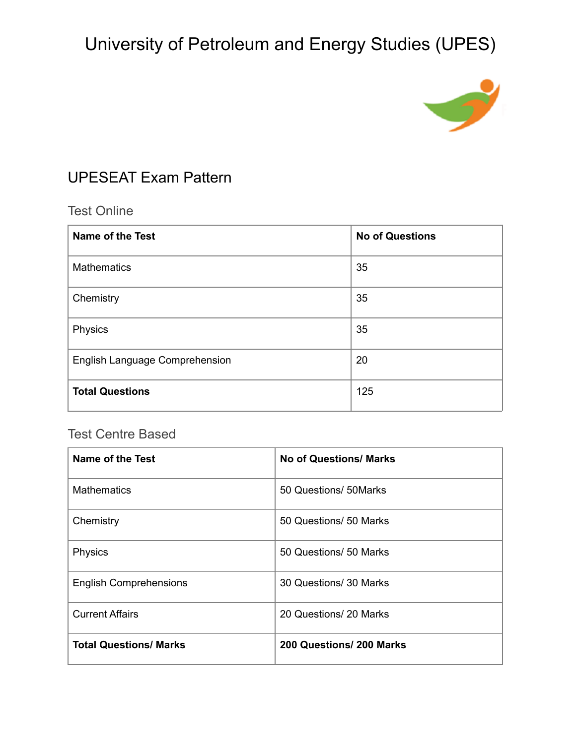

### UPESEAT Exam Pattern

### Test Online

| <b>Name of the Test</b>        | <b>No of Questions</b> |
|--------------------------------|------------------------|
| <b>Mathematics</b>             | 35                     |
| Chemistry                      | 35                     |
| Physics                        | 35                     |
| English Language Comprehension | 20                     |
| <b>Total Questions</b>         | 125                    |

### Test Centre Based

| Name of the Test              | <b>No of Questions/ Marks</b> |
|-------------------------------|-------------------------------|
| <b>Mathematics</b>            | 50 Questions/ 50 Marks        |
| Chemistry                     | 50 Questions/ 50 Marks        |
| Physics                       | 50 Questions/ 50 Marks        |
| <b>English Comprehensions</b> | 30 Questions/ 30 Marks        |
| <b>Current Affairs</b>        | 20 Questions/ 20 Marks        |
| <b>Total Questions/ Marks</b> | 200 Questions/ 200 Marks      |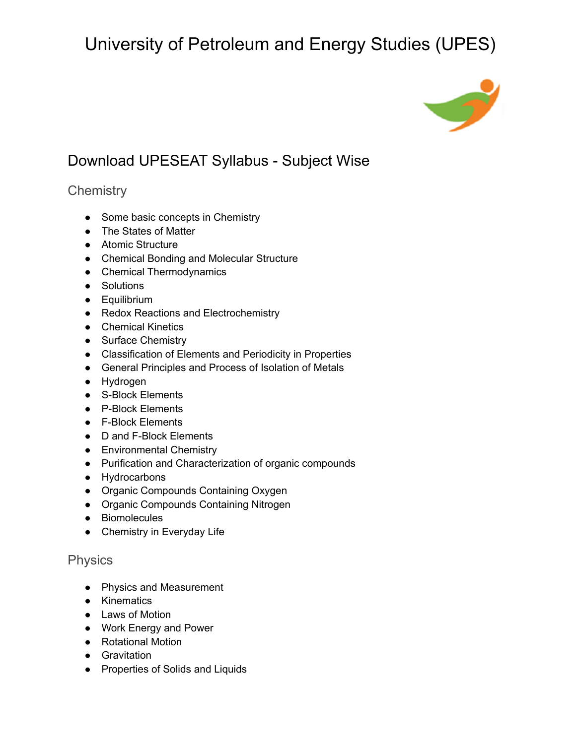

## Download UPESEAT Syllabus - Subject Wise

### **Chemistry**

- Some basic concepts in Chemistry
- The States of Matter
- Atomic Structure
- Chemical Bonding and Molecular Structure
- Chemical Thermodynamics
- Solutions
- Equilibrium
- Redox Reactions and Electrochemistry
- Chemical Kinetics
- Surface Chemistry
- Classification of Elements and Periodicity in Properties
- General Principles and Process of Isolation of Metals
- Hydrogen
- S-Block Elements
- P-Block Elements
- F-Block Elements
- D and F-Block Elements
- Environmental Chemistry
- Purification and Characterization of organic compounds
- Hydrocarbons
- Organic Compounds Containing Oxygen
- Organic Compounds Containing Nitrogen
- Biomolecules
- Chemistry in Everyday Life

#### Physics

- Physics and Measurement
- Kinematics
- Laws of Motion
- Work Energy and Power
- Rotational Motion
- Gravitation
- Properties of Solids and Liquids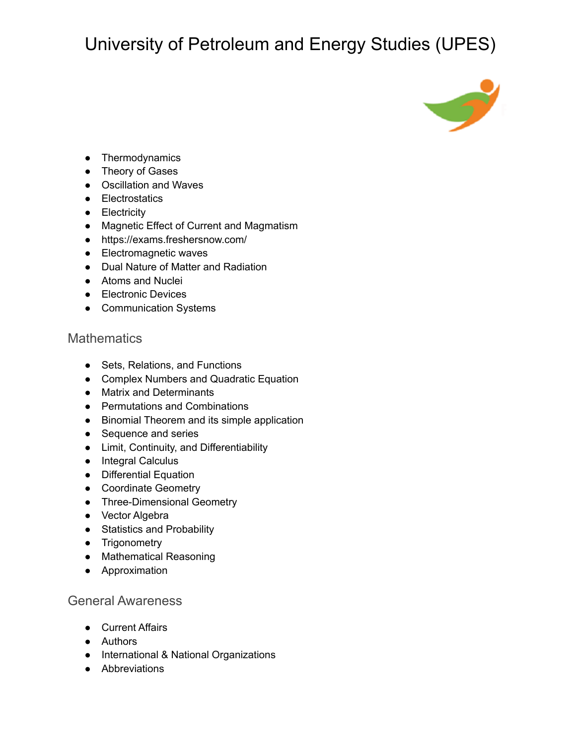

- Thermodynamics
- Theory of Gases
- Oscillation and Waves
- Electrostatics
- **•** Electricity
- Magnetic Effect of Current and Magmatism
- <https://exams.freshersnow.com/>
- Electromagnetic waves
- Dual Nature of Matter and Radiation
- Atoms and Nuclei
- Electronic Devices
- Communication Systems

#### **Mathematics**

- Sets, Relations, and Functions
- Complex Numbers and Quadratic Equation
- Matrix and Determinants
- Permutations and Combinations
- Binomial Theorem and its simple application
- Sequence and series
- Limit, Continuity, and Differentiability
- Integral Calculus
- Differential Equation
- Coordinate Geometry
- Three-Dimensional Geometry
- Vector Algebra
- Statistics and Probability
- Trigonometry
- Mathematical Reasoning
- Approximation

#### General Awareness

- Current Affairs
- Authors
- International & National Organizations
- Abbreviations